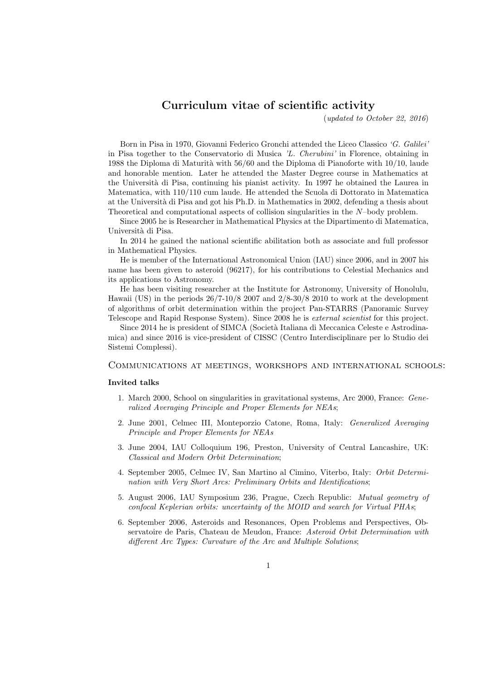# Curriculum vitae of scientific activity

(updated to October 22, 2016)

Born in Pisa in 1970, Giovanni Federico Gronchi attended the Liceo Classico 'G. Galilei' in Pisa together to the Conservatorio di Musica 'L. Cherubini' in Florence, obtaining in 1988 the Diploma di Maturità with  $56/60$  and the Diploma di Pianoforte with  $10/10$ , laude and honorable mention. Later he attended the Master Degree course in Mathematics at the Università di Pisa, continuing his pianist activity. In 1997 he obtained the Laurea in Matematica, with 110/110 cum laude. He attended the Scuola di Dottorato in Matematica at the Universit`a di Pisa and got his Ph.D. in Mathematics in 2002, defending a thesis about Theoretical and computational aspects of collision singularities in the N–body problem.

Since 2005 he is Researcher in Mathematical Physics at the Dipartimento di Matematica, Università di Pisa.

In 2014 he gained the national scientific abilitation both as associate and full professor in Mathematical Physics.

He is member of the International Astronomical Union (IAU) since 2006, and in 2007 his name has been given to asteroid (96217), for his contributions to Celestial Mechanics and its applications to Astronomy.

He has been visiting researcher at the Institute for Astronomy, University of Honolulu, Hawaii (US) in the periods 26/7-10/8 2007 and 2/8-30/8 2010 to work at the development of algorithms of orbit determination within the project Pan-STARRS (Panoramic Survey Telescope and Rapid Response System). Since 2008 he is external scientist for this project.

Since 2014 he is president of SIMCA (Società Italiana di Meccanica Celeste e Astrodinamica) and since 2016 is vice-president of CISSC (Centro Interdisciplinare per lo Studio dei Sistemi Complessi).

# Communications at meetings, workshops and international schools:

#### Invited talks

- 1. March 2000, School on singularities in gravitational systems, Arc 2000, France: Generalized Averaging Principle and Proper Elements for NEAs;
- 2. June 2001, Celmec III, Monteporzio Catone, Roma, Italy: Generalized Averaging Principle and Proper Elements for NEAs
- 3. June 2004, IAU Colloquium 196, Preston, University of Central Lancashire, UK: Classical and Modern Orbit Determination;
- 4. September 2005, Celmec IV, San Martino al Cimino, Viterbo, Italy: Orbit Determination with Very Short Arcs: Preliminary Orbits and Identifications;
- 5. August 2006, IAU Symposium 236, Prague, Czech Republic: Mutual geometry of confocal Keplerian orbits: uncertainty of the MOID and search for Virtual PHAs;
- 6. September 2006, Asteroids and Resonances, Open Problems and Perspectives, Observatoire de Paris, Chateau de Meudon, France: Asteroid Orbit Determination with different Arc Types: Curvature of the Arc and Multiple Solutions;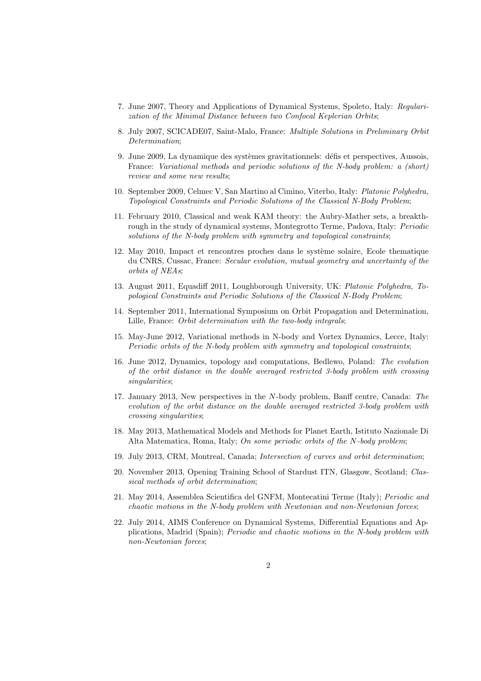- 7. June 2007, Theory and Applications of Dynamical Systems, Spoleto, Italy: Regularization of the Minimal Distance between two Confocal Keplerian Orbits;
- 8. July 2007, SCICADE07, Saint-Malo, France: Multiple Solutions in Preliminary Orbit Determination;
- 9. June 2009, La dynamique des systèmes gravitationnels: défis et perspectives, Aussois, France: Variational methods and periodic solutions of the N-body problem: a (short) review and some new results;
- 10. September 2009, Celmec V, San Martino al Cimino, Viterbo, Italy: Platonic Polyhedra, Topological Constraints and Periodic Solutions of the Classical N-Body Problem;
- 11. February 2010, Classical and weak KAM theory: the Aubry-Mather sets, a breakthrough in the study of dynamical systems, Montegrotto Terme, Padova, Italy: *Periodic* solutions of the N-body problem with symmetry and topological constraints;
- 12. May 2010, Impact et rencontres proches dans le système solaire, Ecole thematique du CNRS, Cussac, France: Secular evolution, mutual geometry and uncertainty of the orbits of NEAs;
- 13. August 2011, Equadiff 2011, Loughborough University, UK: Platonic Polyhedra, Topological Constraints and Periodic Solutions of the Classical N-Body Problem;
- 14. September 2011, International Symposium on Orbit Propagation and Determination, Lille, France: *Orbit determination with the two-body integrals*;
- 15. May-June 2012, Variational methods in N-body and Vortex Dynamics, Lecce, Italy: Periodic orbits of the N-body problem with symmetry and topological constraints;
- 16. June 2012, Dynamics, topology and computations, Bedlewo, Poland: The evolution of the orbit distance in the double averaged restricted 3-body problem with crossing singularities;
- 17. January 2013, New perspectives in the N-body problem, Banff centre, Canada: The evolution of the orbit distance on the double averaged restricted 3-body problem with crossing singularities;
- 18. May 2013, Mathematical Models and Methods for Planet Earth, Istituto Nazionale Di Alta Matematica, Roma, Italy; On some periodic orbits of the N-body problem;
- 19. July 2013, CRM, Montreal, Canada; Intersection of curves and orbit determination;
- 20. November 2013, Opening Training School of Stardust ITN, Glasgow, Scotland; Classical methods of orbit determination;
- 21. May 2014, Assemblea Scientifica del GNFM, Montecatini Terme (Italy); Periodic and chaotic motions in the N-body problem with Newtonian and non-Newtonian forces;
- 22. July 2014, AIMS Conference on Dynamical Systems, Differential Equations and Applications, Madrid (Spain); Periodic and chaotic motions in the N-body problem with non-Newtonian forces;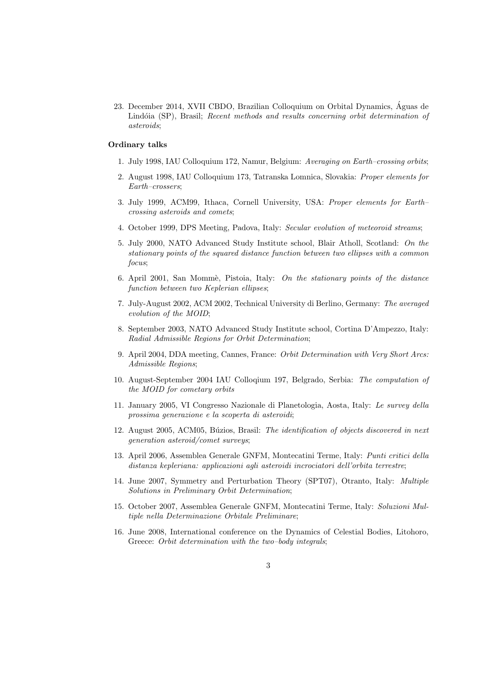23. December 2014, XVII CBDO, Brazilian Colloquium on Orbital Dynamics, Aguas de ´ Lindóia (SP), Brasil; Recent methods and results concerning orbit determination of asteroids;

#### Ordinary talks

- 1. July 1998, IAU Colloquium 172, Namur, Belgium: Averaging on Earth–crossing orbits;
- 2. August 1998, IAU Colloquium 173, Tatranska Lomnica, Slovakia: Proper elements for Earth–crossers;
- 3. July 1999, ACM99, Ithaca, Cornell University, USA: Proper elements for Earth– crossing asteroids and comets;
- 4. October 1999, DPS Meeting, Padova, Italy: Secular evolution of meteoroid streams;
- 5. July 2000, NATO Advanced Study Institute school, Blair Atholl, Scotland: On the stationary points of the squared distance function between two ellipses with a common focus;
- 6. April 2001, San Mommè, Pistoia, Italy: On the stationary points of the distance function between two Keplerian ellipses;
- 7. July-August 2002, ACM 2002, Technical University di Berlino, Germany: The averaged evolution of the MOID;
- 8. September 2003, NATO Advanced Study Institute school, Cortina D'Ampezzo, Italy: Radial Admissible Regions for Orbit Determination;
- 9. April 2004, DDA meeting, Cannes, France: Orbit Determination with Very Short Arcs: Admissible Regions;
- 10. August-September 2004 IAU Colloqium 197, Belgrado, Serbia: The computation of the MOID for cometary orbits
- 11. January 2005, VI Congresso Nazionale di Planetologia, Aosta, Italy: Le survey della prossima generazione e la scoperta di asteroidi;
- 12. August 2005, ACM05, Búzios, Brasil: The identification of objects discovered in next generation asteroid/comet surveys;
- 13. April 2006, Assemblea Generale GNFM, Montecatini Terme, Italy: Punti critici della distanza kepleriana: applicazioni agli asteroidi incrociatori dell'orbita terrestre;
- 14. June 2007, Symmetry and Perturbation Theory (SPT07), Otranto, Italy: Multiple Solutions in Preliminary Orbit Determination;
- 15. October 2007, Assemblea Generale GNFM, Montecatini Terme, Italy: Soluzioni Multiple nella Determinazione Orbitale Preliminare;
- 16. June 2008, International conference on the Dynamics of Celestial Bodies, Litohoro, Greece: Orbit determination with the two-body integrals;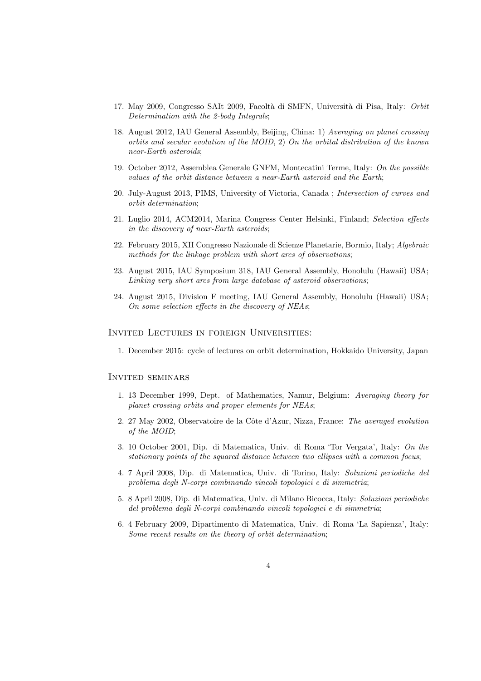- 17. May 2009, Congresso SAIt 2009, Facoltà di SMFN, Università di Pisa, Italy: Orbit Determination with the 2-body Integrals;
- 18. August 2012, IAU General Assembly, Beijing, China: 1) Averaging on planet crossing orbits and secular evolution of the MOID, 2) On the orbital distribution of the known near-Earth asteroids;
- 19. October 2012, Assemblea Generale GNFM, Montecatini Terme, Italy: On the possible values of the orbit distance between a near-Earth asteroid and the Earth;
- 20. July-August 2013, PIMS, University of Victoria, Canada ; Intersection of curves and orbit determination;
- 21. Luglio 2014, ACM2014, Marina Congress Center Helsinki, Finland; Selection effects in the discovery of near-Earth asteroids;
- 22. February 2015, XII Congresso Nazionale di Scienze Planetarie, Bormio, Italy; Algebraic methods for the linkage problem with short arcs of observations;
- 23. August 2015, IAU Symposium 318, IAU General Assembly, Honolulu (Hawaii) USA; Linking very short arcs from large database of asteroid observations;
- 24. August 2015, Division F meeting, IAU General Assembly, Honolulu (Hawaii) USA; On some selection effects in the discovery of NEAs;

## Invited Lectures in foreign Universities:

1. December 2015: cycle of lectures on orbit determination, Hokkaido University, Japan

#### Invited seminars

- 1. 13 December 1999, Dept. of Mathematics, Namur, Belgium: Averaging theory for planet crossing orbits and proper elements for NEAs;
- 2. 27 May 2002, Observatoire de la Côte d'Azur, Nizza, France: The averaged evolution of the MOID;
- 3. 10 October 2001, Dip. di Matematica, Univ. di Roma 'Tor Vergata', Italy: On the stationary points of the squared distance between two ellipses with a common focus;
- 4. 7 April 2008, Dip. di Matematica, Univ. di Torino, Italy: Soluzioni periodiche del problema degli N-corpi combinando vincoli topologici e di simmetria;
- 5. 8 April 2008, Dip. di Matematica, Univ. di Milano Bicocca, Italy: Soluzioni periodiche del problema degli N-corpi combinando vincoli topologici e di simmetria;
- 6. 4 February 2009, Dipartimento di Matematica, Univ. di Roma 'La Sapienza', Italy: Some recent results on the theory of orbit determination;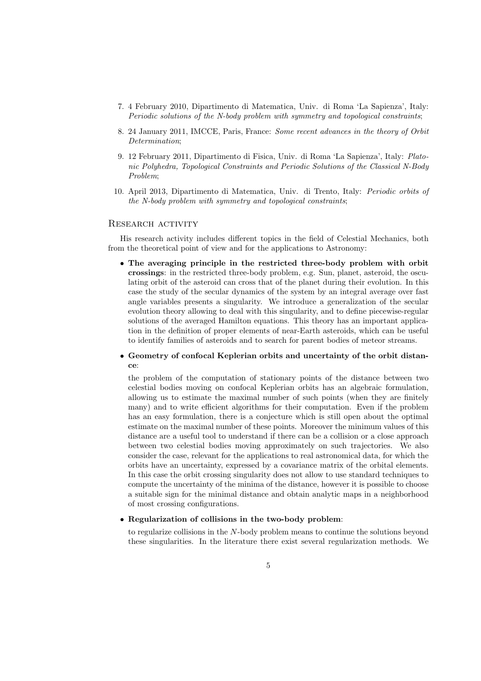- 7. 4 February 2010, Dipartimento di Matematica, Univ. di Roma 'La Sapienza', Italy: Periodic solutions of the N-body problem with symmetry and topological constraints;
- 8. 24 January 2011, IMCCE, Paris, France: Some recent advances in the theory of Orbit Determination;
- 9. 12 February 2011, Dipartimento di Fisica, Univ. di Roma 'La Sapienza', Italy: Platonic Polyhedra, Topological Constraints and Periodic Solutions of the Classical N-Body Problem;
- 10. April 2013, Dipartimento di Matematica, Univ. di Trento, Italy: Periodic orbits of the N-body problem with symmetry and topological constraints;

## RESEARCH ACTIVITY

His research activity includes different topics in the field of Celestial Mechanics, both from the theoretical point of view and for the applications to Astronomy:

• The averaging principle in the restricted three-body problem with orbit crossings: in the restricted three-body problem, e.g. Sun, planet, asteroid, the osculating orbit of the asteroid can cross that of the planet during their evolution. In this case the study of the secular dynamics of the system by an integral average over fast angle variables presents a singularity. We introduce a generalization of the secular evolution theory allowing to deal with this singularity, and to define piecewise-regular solutions of the averaged Hamilton equations. This theory has an important application in the definition of proper elements of near-Earth asteroids, which can be useful to identify families of asteroids and to search for parent bodies of meteor streams.

# • Geometry of confocal Keplerian orbits and uncertainty of the orbit distance:

the problem of the computation of stationary points of the distance between two celestial bodies moving on confocal Keplerian orbits has an algebraic formulation, allowing us to estimate the maximal number of such points (when they are finitely many) and to write efficient algorithms for their computation. Even if the problem has an easy formulation, there is a conjecture which is still open about the optimal estimate on the maximal number of these points. Moreover the minimum values of this distance are a useful tool to understand if there can be a collision or a close approach between two celestial bodies moving approximately on such trajectories. We also consider the case, relevant for the applications to real astronomical data, for which the orbits have an uncertainty, expressed by a covariance matrix of the orbital elements. In this case the orbit crossing singularity does not allow to use standard techniques to compute the uncertainty of the minima of the distance, however it is possible to choose a suitable sign for the minimal distance and obtain analytic maps in a neighborhood of most crossing configurations.

### • Regularization of collisions in the two-body problem:

to regularize collisions in the N-body problem means to continue the solutions beyond these singularities. In the literature there exist several regularization methods. We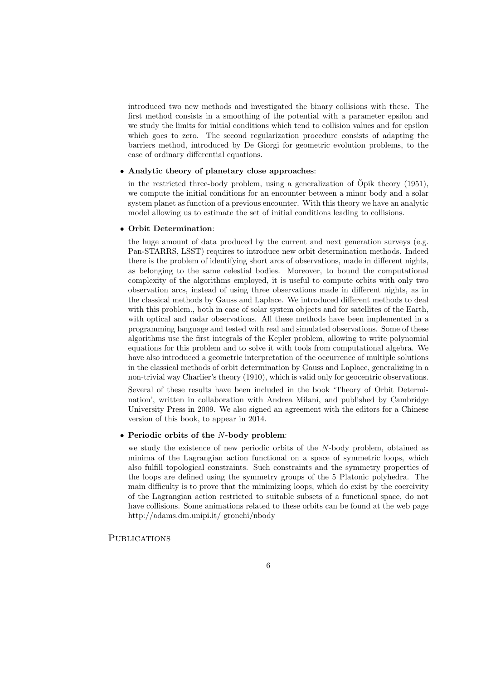introduced two new methods and investigated the binary collisions with these. The first method consists in a smoothing of the potential with a parameter epsilon and we study the limits for initial conditions which tend to collision values and for epsilon which goes to zero. The second regularization procedure consists of adapting the barriers method, introduced by De Giorgi for geometric evolution problems, to the case of ordinary differential equations.

#### • Analytic theory of planetary close approaches:

in the restricted three-body problem, using a generalization of  $\ddot{\text{O}}$  poik theory (1951), we compute the initial conditions for an encounter between a minor body and a solar system planet as function of a previous encounter. With this theory we have an analytic model allowing us to estimate the set of initial conditions leading to collisions.

## • Orbit Determination:

the huge amount of data produced by the current and next generation surveys (e.g. Pan-STARRS, LSST) requires to introduce new orbit determination methods. Indeed there is the problem of identifying short arcs of observations, made in different nights, as belonging to the same celestial bodies. Moreover, to bound the computational complexity of the algorithms employed, it is useful to compute orbits with only two observation arcs, instead of using three observations made in different nights, as in the classical methods by Gauss and Laplace. We introduced different methods to deal with this problem., both in case of solar system objects and for satellites of the Earth, with optical and radar observations. All these methods have been implemented in a programming language and tested with real and simulated observations. Some of these algorithms use the first integrals of the Kepler problem, allowing to write polynomial equations for this problem and to solve it with tools from computational algebra. We have also introduced a geometric interpretation of the occurrence of multiple solutions in the classical methods of orbit determination by Gauss and Laplace, generalizing in a non-trivial way Charlier's theory (1910), which is valid only for geocentric observations.

Several of these results have been included in the book 'Theory of Orbit Determination', written in collaboration with Andrea Milani, and published by Cambridge University Press in 2009. We also signed an agreement with the editors for a Chinese version of this book, to appear in 2014.

#### • Periodic orbits of the N-body problem:

we study the existence of new periodic orbits of the N-body problem, obtained as minima of the Lagrangian action functional on a space of symmetric loops, which also fulfill topological constraints. Such constraints and the symmetry properties of the loops are defined using the symmetry groups of the 5 Platonic polyhedra. The main difficulty is to prove that the minimizing loops, which do exist by the coercivity of the Lagrangian action restricted to suitable subsets of a functional space, do not have collisions. Some animations related to these orbits can be found at the web page http://adams.dm.unipi.it/ gronchi/nbody

**PUBLICATIONS**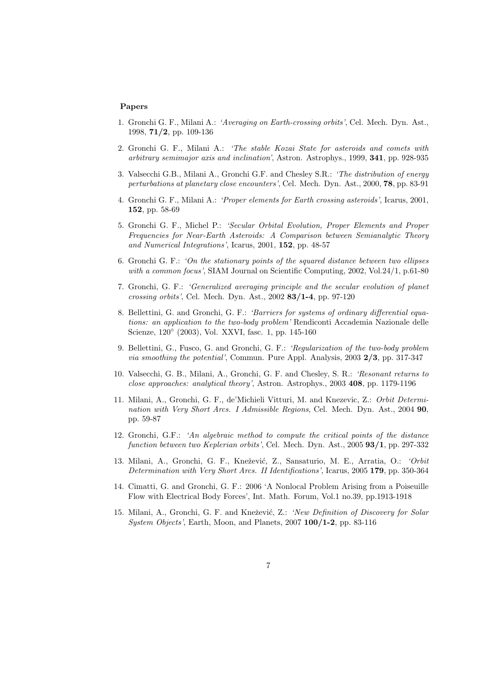#### Papers

- 1. Gronchi G. F., Milani A.: 'Averaging on Earth-crossing orbits', Cel. Mech. Dyn. Ast., 1998, 71/2, pp. 109-136
- 2. Gronchi G. F., Milani A.: 'The stable Kozai State for asteroids and comets with arbitrary semimajor axis and inclination', Astron. Astrophys., 1999, 341, pp. 928-935
- 3. Valsecchi G.B., Milani A., Gronchi G.F. and Chesley S.R.: 'The distribution of energy perturbations at planetary close encounters', Cel. Mech. Dyn. Ast., 2000, 78, pp. 83-91
- 4. Gronchi G. F., Milani A.: 'Proper elements for Earth crossing asteroids', Icarus, 2001, 152, pp. 58-69
- 5. Gronchi G. F., Michel P.: 'Secular Orbital Evolution, Proper Elements and Proper Frequencies for Near-Earth Asteroids: A Comparison between Semianalytic Theory and Numerical Integrations', Icarus, 2001, 152, pp. 48-57
- 6. Gronchi G. F.: 'On the stationary points of the squared distance between two ellipses with a common focus', SIAM Journal on Scientific Computing, 2002, Vol.24/1, p.61-80
- 7. Gronchi, G. F.: 'Generalized averaging principle and the secular evolution of planet crossing orbits', Cel. Mech. Dyn. Ast., 2002 83/1-4, pp. 97-120
- 8. Bellettini, G. and Gronchi, G. F.: 'Barriers for systems of ordinary differential equations: an application to the two-body problem' Rendiconti Accademia Nazionale delle Scienze, 120◦ (2003), Vol. XXVI, fasc. 1, pp. 145-160
- 9. Bellettini, G., Fusco, G. and Gronchi, G. F.: 'Regularization of the two-body problem via smoothing the potential', Commun. Pure Appl. Analysis, 2003 2/3, pp. 317-347
- 10. Valsecchi, G. B., Milani, A., Gronchi, G. F. and Chesley, S. R.: 'Resonant returns to close approaches: analytical theory', Astron. Astrophys., 2003 408, pp. 1179-1196
- 11. Milani, A., Gronchi, G. F., de'Michieli Vitturi, M. and Knezevic, Z.: Orbit Determination with Very Short Arcs. I Admissible Regions, Cel. Mech. Dyn. Ast., 2004 90, pp. 59-87
- 12. Gronchi, G.F.: 'An algebraic method to compute the critical points of the distance function between two Keplerian orbits', Cel. Mech. Dyn. Ast., 2005 93/1, pp. 297-332
- 13. Milani, A., Gronchi, G. F., Knežević, Z., Sansaturio, M. E., Arratia, O.: 'Orbit Determination with Very Short Arcs. II Identifications', Icarus, 2005 179, pp. 350-364
- 14. Cimatti, G. and Gronchi, G. F.: 2006 'A Nonlocal Problem Arising from a Poiseuille Flow with Electrical Body Forces', Int. Math. Forum, Vol.1 no.39, pp.1913-1918
- 15. Milani, A., Gronchi, G. F. and Knežević, Z.: 'New Definition of Discovery for Solar System Objects', Earth, Moon, and Planets, 2007 100/1-2, pp. 83-116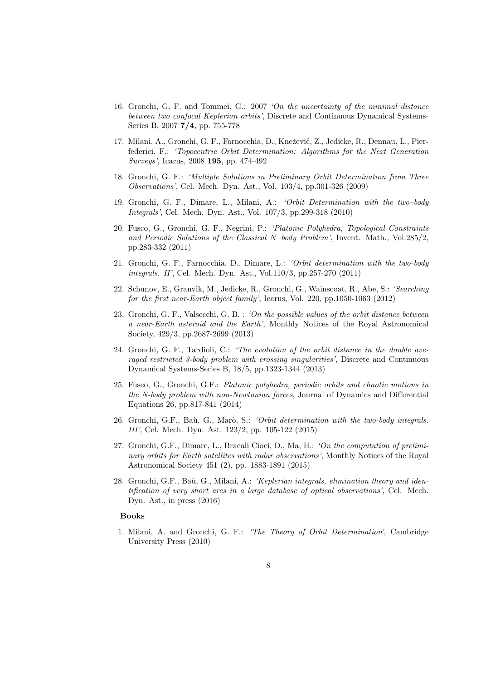- 16. Gronchi, G. F. and Tommei, G.: 2007 'On the uncertainty of the minimal distance between two confocal Keplerian orbits', Discrete and Continuous Dynamical Systems-Series B, 2007 7/4, pp. 755-778
- 17. Milani, A., Gronchi, G. F., Farnocchia, D., Knežević, Z., Jedicke, R., Dennau, L., Pierfederici, F.: 'Topocentric Orbit Determination: Algorithms for the Next Generation Surveys', Icarus, 2008 195, pp. 474-492
- 18. Gronchi, G. F.: 'Multiple Solutions in Preliminary Orbit Determination from Three Observations', Cel. Mech. Dyn. Ast., Vol. 103/4, pp.301-326 (2009)
- 19. Gronchi, G. F., Dimare, L., Milani, A.: 'Orbit Determination with the two–body Integrals', Cel. Mech. Dyn. Ast., Vol. 107/3, pp.299-318 (2010)
- 20. Fusco, G., Gronchi, G. F., Negrini, P.: 'Platonic Polyhedra, Topological Constraints and Periodic Solutions of the Classical N–body Problem', Invent. Math., Vol.285/2, pp.283-332 (2011)
- 21. Gronchi, G. F., Farnocchia, D., Dimare, L.: 'Orbit determination with the two-body integrals. II', Cel. Mech. Dyn. Ast., Vol.110/3, pp.257-270 (2011)
- 22. Schunov, E., Granvik, M., Jedicke, R., Gronchi, G., Wainscoat, R., Abe, S.: 'Searching for the first near-Earth object family', Icarus, Vol. 220, pp.1050-1063 (2012)
- 23. Gronchi, G. F., Valsecchi, G. B. : 'On the possible values of the orbit distance between a near-Earth asteroid and the Earth', Monthly Notices of the Royal Astronomical Society, 429/3, pp.2687-2699 (2013)
- 24. Gronchi, G. F., Tardioli, C.: 'The evolution of the orbit distance in the double averaged restricted 3-body problem with crossing singularities', Discrete and Continuous Dynamical Systems-Series B, 18/5, pp.1323-1344 (2013)
- 25. Fusco, G., Gronchi, G.F.: Platonic polyhedra, periodic orbits and chaotic motions in the N-body problem with non-Newtonian forces, Journal of Dynamics and Differential Equations 26, pp.817-841 (2014)
- 26. Gronchi, G.F., Baù, G., Marò, S.: 'Orbit determination with the two-body integrals. III', Cel. Mech. Dyn. Ast. 123/2, pp. 105-122 (2015)
- 27. Gronchi, G.F., Dimare, L., Bracali Cioci, D., Ma, H.: 'On the computation of preliminary orbits for Earth satellites with radar observations', Monthly Notices of the Royal Astronomical Society 451 (2), pp. 1883-1891 (2015)
- 28. Gronchi, G.F., Baù, G., Milani, A.: 'Keplerian integrals, elimination theory and identification of very short arcs in a large database of optical observations', Cel. Mech. Dyn. Ast., in press (2016)

## Books

1. Milani, A. and Gronchi, G. F.: 'The Theory of Orbit Determination', Cambridge University Press (2010)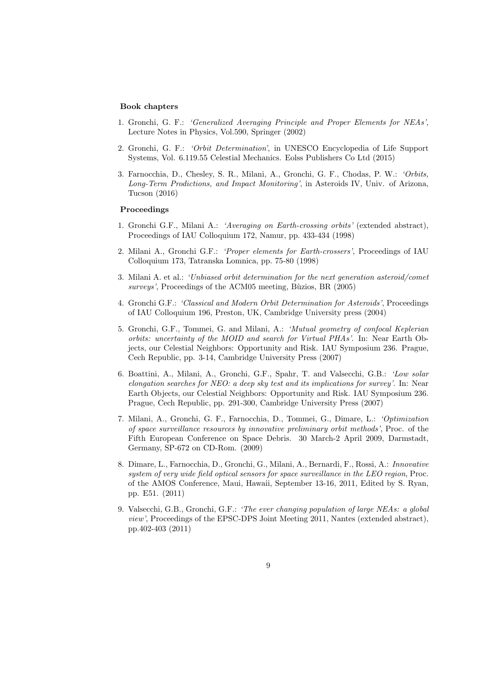#### Book chapters

- 1. Gronchi, G. F.: 'Generalized Averaging Principle and Proper Elements for NEAs', Lecture Notes in Physics, Vol.590, Springer (2002)
- 2. Gronchi, G. F.: 'Orbit Determination', in UNESCO Encyclopedia of Life Support Systems, Vol. 6.119.55 Celestial Mechanics. Eolss Publishers Co Ltd (2015)
- 3. Farnocchia, D., Chesley, S. R., Milani, A., Gronchi, G. F., Chodas, P. W.: 'Orbits, Long-Term Prodictions, and Impact Monitoring', in Asteroids IV, Univ. of Arizona, Tucson (2016)

# Proceedings

- 1. Gronchi G.F., Milani A.: 'Averaging on Earth-crossing orbits' (extended abstract), Proceedings of IAU Colloquium 172, Namur, pp. 433-434 (1998)
- 2. Milani A., Gronchi G.F.: 'Proper elements for Earth-crossers', Proceedings of IAU Colloquium 173, Tatranska Lomnica, pp. 75-80 (1998)
- 3. Milani A. et al.: 'Unbiased orbit determination for the next generation asteroid/comet  $surveys'$ , Proceedings of the ACM05 meeting, Bùzios, BR (2005)
- 4. Gronchi G.F.: 'Classical and Modern Orbit Determination for Asteroids', Proceedings of IAU Colloquium 196, Preston, UK, Cambridge University press (2004)
- 5. Gronchi, G.F., Tommei, G. and Milani, A.: 'Mutual geometry of confocal Keplerian orbits: uncertainty of the MOID and search for Virtual PHAs'. In: Near Earth Objects, our Celestial Neighbors: Opportunity and Risk. IAU Symposium 236. Prague, Cech Republic, pp. 3-14, Cambridge University Press (2007)
- 6. Boattini, A., Milani, A., Gronchi, G.F., Spahr, T. and Valsecchi, G.B.: 'Low solar elongation searches for NEO: a deep sky test and its implications for survey'. In: Near Earth Objects, our Celestial Neighbors: Opportunity and Risk. IAU Symposium 236. Prague, Cech Republic, pp. 291-300, Cambridge University Press (2007)
- 7. Milani, A., Gronchi, G. F., Farnocchia, D., Tommei, G., Dimare, L.: 'Optimization of space surveillance resources by innovative preliminary orbit methods', Proc. of the Fifth European Conference on Space Debris. 30 March-2 April 2009, Darmstadt, Germany, SP-672 on CD-Rom. (2009)
- 8. Dimare, L., Farnocchia, D., Gronchi, G., Milani, A., Bernardi, F., Rossi, A.: Innovative system of very wide field optical sensors for space surveillance in the LEO region, Proc. of the AMOS Conference, Maui, Hawaii, September 13-16, 2011, Edited by S. Ryan, pp. E51. (2011)
- 9. Valsecchi, G.B., Gronchi, G.F.: 'The ever changing population of large NEAs: a global view', Proceedings of the EPSC-DPS Joint Meeting 2011, Nantes (extended abstract), pp.402-403 (2011)